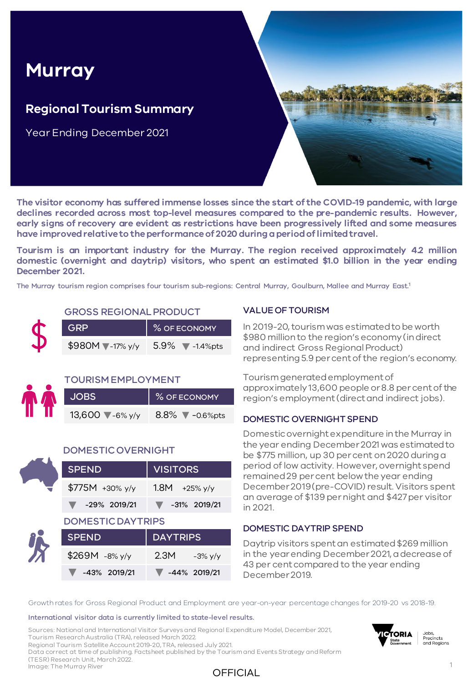# **Murray**

### **Regional Tourism Summary**

Year Ending December 2021



**The visitor economy has suffered immense losses since the start of the COVID-19 pandemic, with large declines recorded across most top-level measures compared to the pre-pandemic results. However, early signs of recovery are evident as restrictions have been progressively lifted and some measures have improvedrelativeto theperformanceof 2020 duringaperiodoflimitedtravel.**

**Tourism is an important industry for the Murray. The region received approximately 4.2 million domestic (overnight and daytrip) visitors, who spent an estimated \$1.0 billion in the year ending December 2021.**

The Murray tourism region comprises four tourism sub-regions: Central Murray, Goulburn, Mallee and Murray East. 1

#### GROSS REGIONAL PRODUCT

| <b>GRP</b>                 | % OF ECONOMY                          |
|----------------------------|---------------------------------------|
| $$980M$ $\sqrt{-17\% y/y}$ | $5.9\%$ $\blacktriangledown$ -1.4%pts |

#### TOURISM EMPLOYMENT

| <b>JOBS</b>              | % OF ECONOMY             |  |  |  |
|--------------------------|--------------------------|--|--|--|
| 13,600 $\sqrt{-6\% y/y}$ | 8.8% $\sqrt{-0.6\%}$ pts |  |  |  |

#### DOMESTIC OVERNIGHT

| <b>SPEND</b>             | <b>VISITORS</b>     |  |  |  |  |
|--------------------------|---------------------|--|--|--|--|
| \$775M +30% y/y          | 1.8M<br>$+25\%$ y/y |  |  |  |  |
| -29% 2019/21             | $-31\%$ 2019/21     |  |  |  |  |
| <b>DOMESTIC DAYTRIPS</b> |                     |  |  |  |  |
| <b>SPEND</b>             | <b>DAYTRIPS</b>     |  |  |  |  |
| \$269M -8% y/y           | 2.3M<br>$-3\%$ y/y  |  |  |  |  |
| -43% 2019/21             | -44% 2019/21        |  |  |  |  |

#### VALUE OF TOURISM

In 2019-20, tourism was estimated to be worth \$980 million to the region's economy (in direct and indirect Gross Regional Product) representing 5.9 per cent of the region's economy.

Tourism generated employment of approximately 13,600 people or 8.8 per cent of the region's employment (direct and indirect jobs).

#### DOMESTIC OVERNIGHT SPEND

Domestic overnight expenditure in the Murray in the year ending December 2021 was estimated to be \$775 million, up 30 per cent on 2020 during a period of low activity. However, overnight spend remained 29 per cent below the year ending December 2019 (pre-COVID) result. Visitors spent an average of \$139 per night and \$427 per visitor in 2021.

#### DOMESTIC DAYTRIP SPEND

Daytrip visitors spent an estimated \$269 million in the year ending December 2021, a decrease of 43 per cent compared to the year ending December 2019.

Growth rates for Gross Regional Product and Employment are year-on-year percentage changes for 2019-20 vs 2018-19.

#### International visitor data is currently limited to state-level results.

Sources: National and International Visitor Surveys and Regional Expenditure Model, December 2021, Tourism Research Australia (TRA), released March 2022. Regional Tourism Satellite Account 2019-20, TRA, released July 2021. Data correct at time of publishing. Factsheet published by the Tourism and Events Strategy and Reform (TESR) Research Unit, March 2022. Image: The Murray River



Jobs, Precincts and Regions

OFFICIAL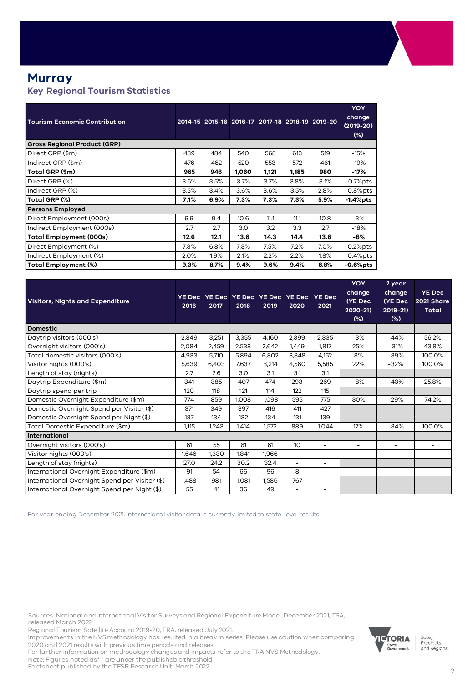#### **Murray Key Regional Tourism Statistics**

| <b>Tourism Economic Contribution</b> |      |      |       |       |       | 2014-15 2015-16 2016-17 2017-18 2018-19 2019-20 | <b>YOY</b><br>change<br>$(2019-20)$<br>$(\%)$ |
|--------------------------------------|------|------|-------|-------|-------|-------------------------------------------------|-----------------------------------------------|
| <b>Gross Regional Product (GRP)</b>  |      |      |       |       |       |                                                 |                                               |
| Direct GRP (\$m)                     | 489  | 484  | 540   | 568   | 613   | 519                                             | $-15%$                                        |
| Indirect GRP (\$m)                   | 476  | 462  | 520   | 553   | 572   | 461                                             | $-19%$                                        |
| Total GRP (\$m)                      | 965  | 946  | 1,060 | 1,121 | 1,185 | 980                                             | -17%                                          |
| Direct GRP (%)                       | 3.6% | 3.5% | 3.7%  | 3.7%  | 3.8%  | 3.1%                                            | $-0.7%$ pts                                   |
| Indirect GRP (%)                     | 3.5% | 3.4% | 3.6%  | 3.6%  | 3.5%  | 2.8%                                            | $-0.8%$ pts                                   |
| Total GRP (%)                        | 7.1% | 6.9% | 7.3%  | 7.3%  | 7.3%  | 5.9%                                            | $-1.4%$ pts                                   |
| <b>Persons Employed</b>              |      |      |       |       |       |                                                 |                                               |
| Direct Employment (000s)             | 9.9  | 9.4  | 10.6  | 11.1  | 11.1  | 10.8                                            | $-3%$                                         |
| Indirect Employment (000s)           | 2.7  | 2.7  | 3.0   | 3.2   | 3.3   | 2.7                                             | $-18%$                                        |
| Total Employment (000s)              | 12.6 | 12.1 | 13.6  | 14.3  | 14.4  | 13.6                                            | -6%                                           |
| Direct Employment (%)                | 7.3% | 6.8% | 7.3%  | 7.5%  | 7.2%  | 7.0%                                            | $-0.2%$ pts                                   |
| Indirect Employment (%)              | 2.0% | 1.9% | 2.1%  | 2.2%  | 2.2%  | $1.8\%$                                         | $-0.4\%$ pts                                  |
| Total Employment (%)                 | 9.3% | 8.7% | 9.4%  | 9.6%  | 9.4%  | 8.8%                                            | -0.6%pts                                      |

| <b>Visitors, Nights and Expenditure</b>        | <b>YE Dec</b><br>2016 | YE Dec YE Dec YE Dec YE Dec<br>2017 | 2018             | 2019  | 2020                     | <b>YE Dec</b><br>2021    | <b>YOY</b><br>change<br>(YE Dec<br>2020-21)<br>$(\%)$ | 2 year<br>change<br>(YE Dec<br>$2019 - 21$<br>$(\%)$ | <b>YE Dec</b><br>2021 Share<br><b>Total</b> |
|------------------------------------------------|-----------------------|-------------------------------------|------------------|-------|--------------------------|--------------------------|-------------------------------------------------------|------------------------------------------------------|---------------------------------------------|
| <b>Domestic</b>                                |                       |                                     |                  |       |                          |                          |                                                       |                                                      |                                             |
| Daytrip visitors (000's)                       | 2,849                 | 3,251                               | 3,355            | 4,160 | 2,399                    | 2,335                    | $-3%$                                                 | $-44%$                                               | 56.2%                                       |
| Overnight visitors (000's)                     | 2,084                 | 2,459                               | 2,538            | 2,642 | 1,449                    | 1,817                    | 25%                                                   | $-31%$                                               | 43.8%                                       |
| Total domestic visitors (000's)                | 4,933                 | 5,710                               | 5,894            | 6,802 | 3,848                    | 4,152                    | 8%                                                    | $-39%$                                               | 100.0%                                      |
| Visitor nights (000's)                         | 5,639                 | 6,403                               | 7,637            | 8,214 | 4,560                    | 5,585                    | 22%                                                   | $-32%$                                               | 100.0%                                      |
| Length of stay (nights)                        | 2.7                   | 2.6                                 | 3.0 <sub>2</sub> | 3.1   | 3.1                      | 3.1                      |                                                       |                                                      |                                             |
| Daytrip Expenditure (\$m)                      | 341                   | 385                                 | 407              | 474   | 293                      | 269                      | $-8%$                                                 | $-43%$                                               | 25.8%                                       |
| Daytrip spend per trip                         | 120                   | 118                                 | 121              | 114   | 122                      | 115                      |                                                       |                                                      |                                             |
| Domestic Overnight Expenditure (\$m)           | 774                   | 859                                 | 1,008            | 1,098 | 595                      | 775                      | 30%                                                   | $-29%$                                               | 74.2%                                       |
| Domestic Overnight Spend per Visitor (\$)      | 371                   | 349                                 | 397              | 416   | 411                      | 427                      |                                                       |                                                      |                                             |
| Domestic Overnight Spend per Night (\$)        | 137                   | 134                                 | 132              | 134   | 131                      | 139                      |                                                       |                                                      |                                             |
| Total Domestic Expenditure (\$m)               | 1,115                 | 1,243                               | 1,414            | 1,572 | 889                      | 1,044                    | 17%                                                   | $-34%$                                               | 100.0%                                      |
| International                                  |                       |                                     |                  |       |                          |                          |                                                       |                                                      |                                             |
| Overnight visitors (000's)                     | 61                    | 55                                  | 61               | 61    | 10                       | ÷                        | $\overline{\phantom{a}}$                              | $\overline{\phantom{a}}$                             | $\overline{\phantom{a}}$                    |
| Visitor nights (000's)                         | 1,646                 | 1,330                               | 1.841            | 1,966 | $\overline{\phantom{a}}$ | ۰                        | $\overline{\phantom{a}}$                              | $\sim$                                               | $\overline{\phantom{a}}$                    |
| Length of stay (nights)                        | 27.0                  | 24.2                                | 30.2             | 32.4  | $\overline{\phantom{a}}$ | $\overline{\phantom{0}}$ |                                                       |                                                      |                                             |
| International Overnight Expenditure (\$m)      | 91                    | 54                                  | 66               | 96    | 8                        | ÷,                       | $\overline{\phantom{a}}$                              | $\overline{\phantom{a}}$                             | L.                                          |
| International Overnight Spend per Visitor (\$) | 1,488                 | 981                                 | 1,081            | 1,586 | 767                      | $\overline{\phantom{0}}$ |                                                       |                                                      |                                             |
| International Overnight Spend per Night (\$)   | 55                    | 41                                  | 36               | 49    |                          | ۰                        |                                                       |                                                      |                                             |

For year ending December 2021, international visitor data is currently limited to state-level results.

Sources: National and International Visitor Surveys and Regional Expenditure Model, December 2021, TRA, released March 2022.

Regional Tourism Satellite Account 2019-20, TRA, released July 2021.

Improvements in the NVS methodology has resulted in a break in series. Please use caution when comparing 2020 and 2021 results with previous time periods and releases.

For further information on methodology changes and impacts refer to the TRA NVS Methodology. Note: Figures noted as '-' are under the publishable threshold.

Factsheet published by the TESR Research Unit, March 2022



Jobs,<br>Precincts and Regions